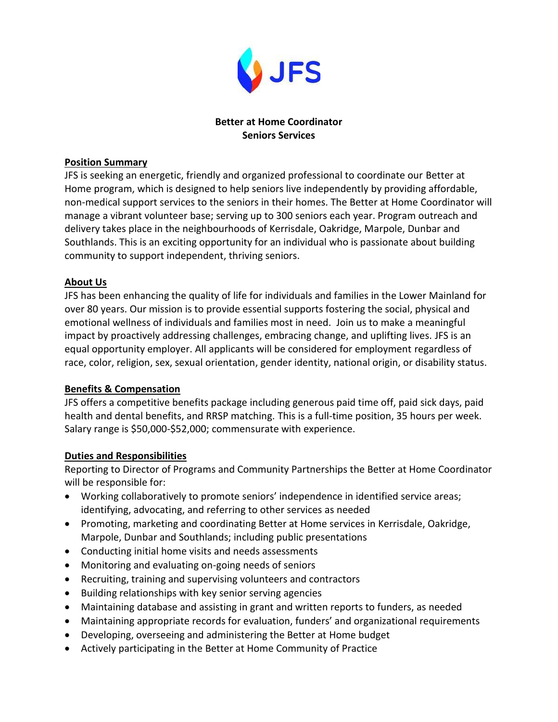

# **Better at Home Coordinator Seniors Services**

## **Position Summary**

JFS is seeking an energetic, friendly and organized professional to coordinate our Better at Home program, which is designed to help seniors live independently by providing affordable, non-medical support services to the seniors in their homes. The Better at Home Coordinator will manage a vibrant volunteer base; serving up to 300 seniors each year. Program outreach and delivery takes place in the neighbourhoods of Kerrisdale, Oakridge, Marpole, Dunbar and Southlands. This is an exciting opportunity for an individual who is passionate about building community to support independent, thriving seniors.

# **About Us**

JFS has been enhancing the quality of life for individuals and families in the Lower Mainland for over 80 years. Our mission is to provide essential supports fostering the social, physical and emotional wellness of individuals and families most in need. Join us to make a meaningful impact by proactively addressing challenges, embracing change, and uplifting lives. JFS is an equal opportunity employer. All applicants will be considered for employment regardless of race, color, religion, sex, sexual orientation, gender identity, national origin, or disability status.

# **Benefits & Compensation**

JFS offers a competitive benefits package including generous paid time off, paid sick days, paid health and dental benefits, and RRSP matching. This is a full-time position, 35 hours per week. Salary range is \$50,000-\$52,000; commensurate with experience.

# **Duties and Responsibilities**

Reporting to Director of Programs and Community Partnerships the Better at Home Coordinator will be responsible for:

- Working collaboratively to promote seniors' independence in identified service areas; identifying, advocating, and referring to other services as needed
- Promoting, marketing and coordinating Better at Home services in Kerrisdale, Oakridge, Marpole, Dunbar and Southlands; including public presentations
- Conducting initial home visits and needs assessments
- Monitoring and evaluating on-going needs of seniors
- Recruiting, training and supervising volunteers and contractors
- Building relationships with key senior serving agencies
- Maintaining database and assisting in grant and written reports to funders, as needed
- Maintaining appropriate records for evaluation, funders' and organizational requirements
- Developing, overseeing and administering the Better at Home budget
- Actively participating in the Better at Home Community of Practice